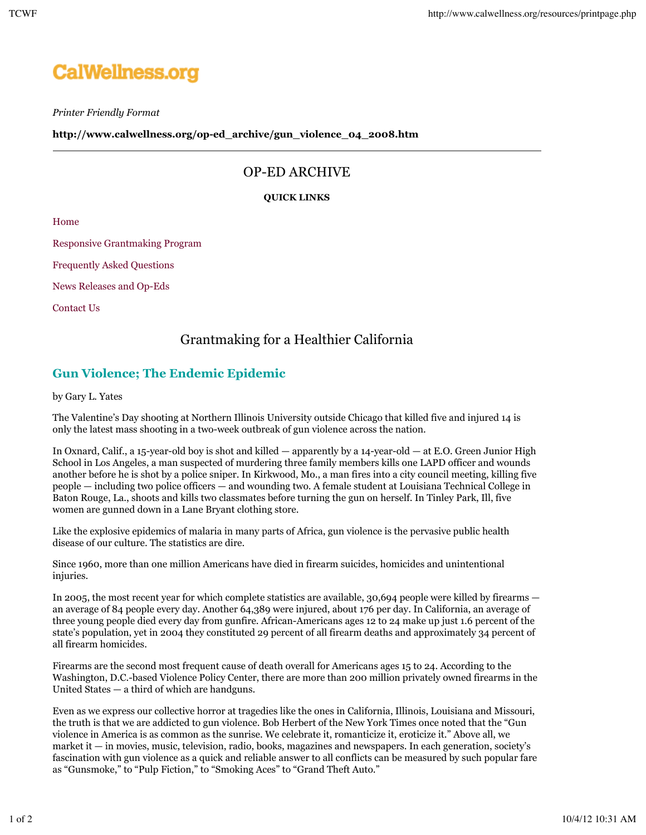# **CalWellness.org**

*Printer Friendly Format*

**http://www.calwellness.org/op-ed\_archive/gun\_violence\_04\_2008.htm**

### OP-ED ARCHIVE

#### **QUICK LINKS**

Home

Responsive Grantmaking Program

Frequently Asked Questions

News Releases and Op-Eds

Contact Us

## Grantmaking for a Healthier California

## **Gun Violence; The Endemic Epidemic**

by Gary L. Yates

The Valentine's Day shooting at Northern Illinois University outside Chicago that killed five and injured 14 is only the latest mass shooting in a two-week outbreak of gun violence across the nation.

In Oxnard, Calif., a 15-year-old boy is shot and killed — apparently by a 14-year-old — at E.O. Green Junior High School in Los Angeles, a man suspected of murdering three family members kills one LAPD officer and wounds another before he is shot by a police sniper. In Kirkwood, Mo., a man fires into a city council meeting, killing five people — including two police officers — and wounding two. A female student at Louisiana Technical College in Baton Rouge, La., shoots and kills two classmates before turning the gun on herself. In Tinley Park, Ill, five women are gunned down in a Lane Bryant clothing store.

Like the explosive epidemics of malaria in many parts of Africa, gun violence is the pervasive public health disease of our culture. The statistics are dire.

Since 1960, more than one million Americans have died in firearm suicides, homicides and unintentional injuries.

In 2005, the most recent year for which complete statistics are available, 30,694 people were killed by firearms an average of 84 people every day. Another 64,389 were injured, about 176 per day. In California, an average of three young people died every day from gunfire. African-Americans ages 12 to 24 make up just 1.6 percent of the state's population, yet in 2004 they constituted 29 percent of all firearm deaths and approximately 34 percent of all firearm homicides.

Firearms are the second most frequent cause of death overall for Americans ages 15 to 24. According to the Washington, D.C.-based Violence Policy Center, there are more than 200 million privately owned firearms in the United States — a third of which are handguns.

Even as we express our collective horror at tragedies like the ones in California, Illinois, Louisiana and Missouri, the truth is that we are addicted to gun violence. Bob Herbert of the New York Times once noted that the "Gun violence in America is as common as the sunrise. We celebrate it, romanticize it, eroticize it." Above all, we market it — in movies, music, television, radio, books, magazines and newspapers. In each generation, society's fascination with gun violence as a quick and reliable answer to all conflicts can be measured by such popular fare as "Gunsmoke," to "Pulp Fiction," to "Smoking Aces" to "Grand Theft Auto."